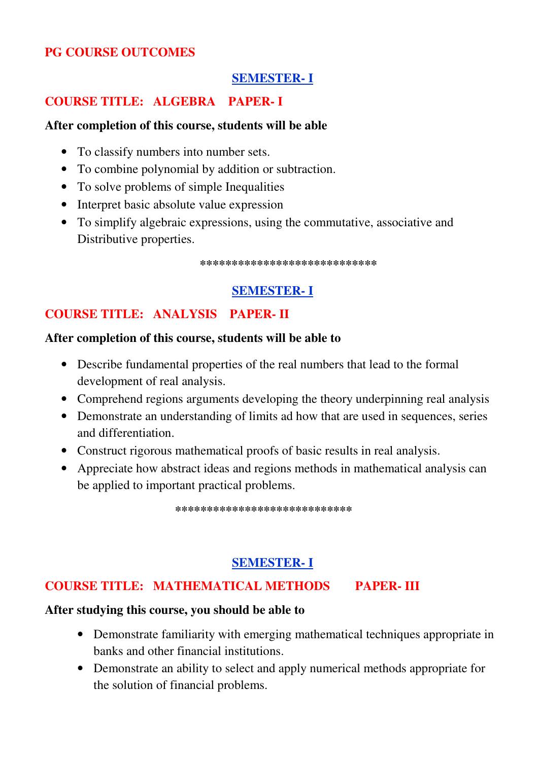#### **PG COURSE OUTCOMES**

#### **SEMESTER- I**

#### **COURSE TITLE: ALGEBRA PAPER- I**

#### **After completion of this course, students will be able**

- To classify numbers into number sets.
- To combine polynomial by addition or subtraction.
- To solve problems of simple Inequalities
- Interpret basic absolute value expression
- To simplify algebraic expressions, using the commutative, associative and Distributive properties.

**\*\*\*\*\*\*\*\*\*\*\*\*\*\*\*\*\*\*\*\*\*\*\*\*\*\*\*\*** 

## **SEMESTER- I**

#### **COURSE TITLE: ANALYSIS PAPER- II**

#### **After completion of this course, students will be able to**

- Describe fundamental properties of the real numbers that lead to the formal development of real analysis.
- Comprehend regions arguments developing the theory underpinning real analysis
- Demonstrate an understanding of limits ad how that are used in sequences, series and differentiation.
- Construct rigorous mathematical proofs of basic results in real analysis.
- Appreciate how abstract ideas and regions methods in mathematical analysis can be applied to important practical problems.

**\*\*\*\*\*\*\*\*\*\*\*\*\*\*\*\*\*\*\*\*\*\*\*\*\*\*\*\***

## **SEMESTER- I**

#### **COURSE TITLE: MATHEMATICAL METHODS PAPER- III**

#### **After studying this course, you should be able to**

- Demonstrate familiarity with emerging mathematical techniques appropriate in banks and other financial institutions.
- Demonstrate an ability to select and apply numerical methods appropriate for the solution of financial problems.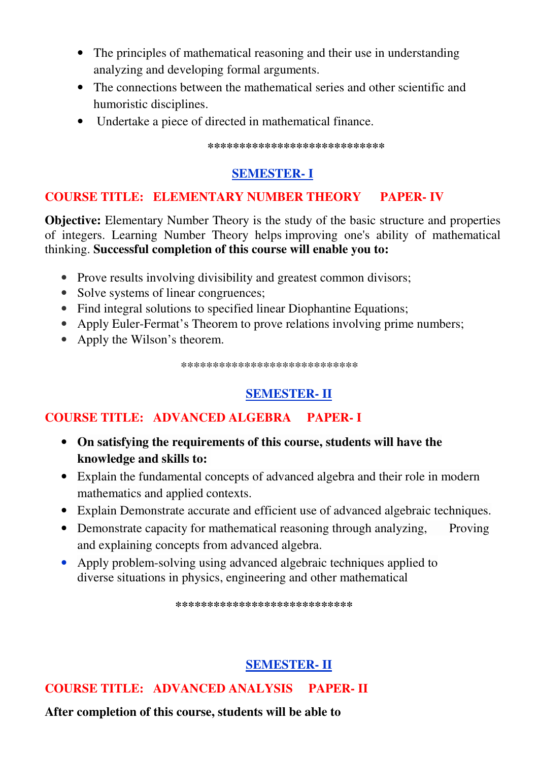- The principles of mathematical reasoning and their use in understanding analyzing and developing formal arguments.
- The connections between the mathematical series and other scientific and humoristic disciplines.
- Undertake a piece of directed in mathematical finance.

**\*\*\*\*\*\*\*\*\*\*\*\*\*\*\*\*\*\*\*\*\*\*\*\*\*\*\*\***

# **SEMESTER- I**

# **COURSE TITLE: ELEMENTARY NUMBER THEORY PAPER- IV**

**Objective:** Elementary Number Theory is the study of the basic structure and properties of integers. Learning Number Theory helps improving one's ability of mathematical thinking. **Successful completion of this course will enable you to:**

- Prove results involving divisibility and greatest common divisors;
- Solve systems of linear congruences;
- Find integral solutions to specified linear Diophantine Equations;
- Apply Euler-Fermat's Theorem to prove relations involving prime numbers;
- Apply the Wilson's theorem.

 **\*\*\*\*\*\*\*\*\*\*\*\*\*\*\*\*\*\*\*\*\*\*\*\*\*\*\*\*** 

# **SEMESTER- II**

# **COURSE TITLE: ADVANCED ALGEBRA PAPER- I**

- **On satisfying the requirements of this course, students will have the knowledge and skills to:**
- Explain the fundamental concepts of advanced algebra and their role in modern mathematics and applied contexts.
- Explain Demonstrate accurate and efficient use of advanced algebraic techniques.
- Demonstrate capacity for mathematical reasoning through analyzing, Proving and explaining concepts from advanced algebra.
- Apply problem-solving using advanced algebraic techniques applied to diverse situations in physics, engineering and other mathematical

 **\*\*\*\*\*\*\*\*\*\*\*\*\*\*\*\*\*\*\*\*\*\*\*\*\*\*\*\***

# **SEMESTER- II**

**COURSE TITLE: ADVANCED ANALYSIS PAPER- II** 

**After completion of this course, students will be able to**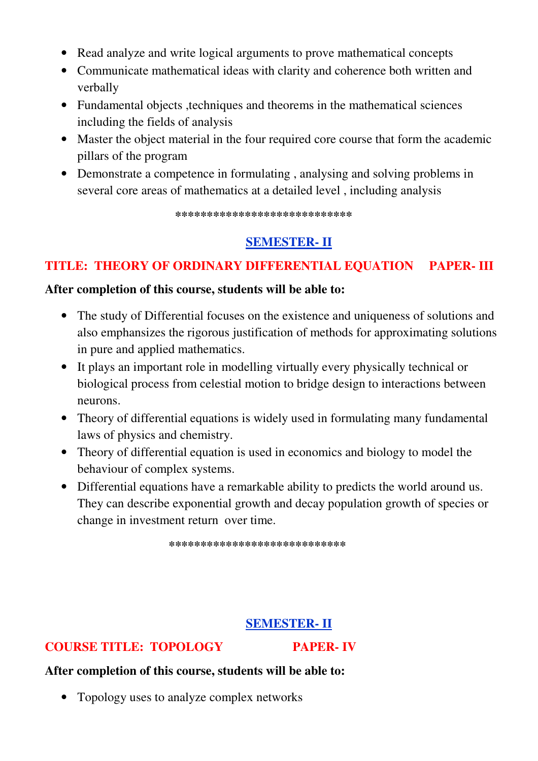- Read analyze and write logical arguments to prove mathematical concepts
- Communicate mathematical ideas with clarity and coherence both written and verbally
- Fundamental objects , techniques and theorems in the mathematical sciences including the fields of analysis
- Master the object material in the four required core course that form the academic pillars of the program
- Demonstrate a competence in formulating , analysing and solving problems in several core areas of mathematics at a detailed level , including analysis

 **\*\*\*\*\*\*\*\*\*\*\*\*\*\*\*\*\*\*\*\*\*\*\*\*\*\*\*\***

## **SEMESTER- II**

# **TITLE: THEORY OF ORDINARY DIFFERENTIAL EQUATION PAPER- III**

#### **After completion of this course, students will be able to:**

- The study of Differential focuses on the existence and uniqueness of solutions and also emphansizes the rigorous justification of methods for approximating solutions in pure and applied mathematics.
- It plays an important role in modelling virtually every physically technical or biological process from celestial motion to bridge design to interactions between neurons.
- Theory of differential equations is widely used in formulating many fundamental laws of physics and chemistry.
- Theory of differential equation is used in economics and biology to model the behaviour of complex systems.
- Differential equations have a remarkable ability to predicts the world around us. They can describe exponential growth and decay population growth of species or change in investment return over time.

**\*\*\*\*\*\*\*\*\*\*\*\*\*\*\*\*\*\*\*\*\*\*\*\*\*\*\*\***

#### **SEMESTER- II**

#### **COURSE TITLE: TOPOLOGY PAPER- IV**

#### **After completion of this course, students will be able to:**

• Topology uses to analyze complex networks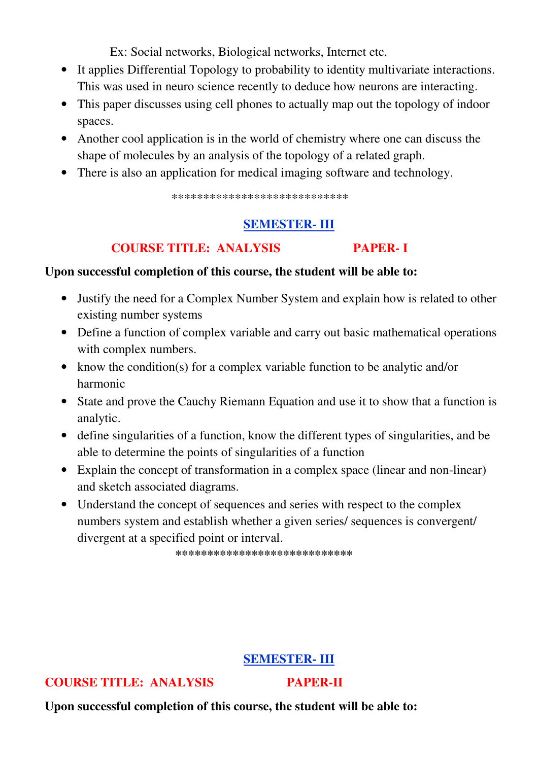Ex: Social networks, Biological networks, Internet etc.

- It applies Differential Topology to probability to identity multivariate interactions. This was used in neuro science recently to deduce how neurons are interacting.
- This paper discusses using cell phones to actually map out the topology of indoor spaces.
- Another cool application is in the world of chemistry where one can discuss the shape of molecules by an analysis of the topology of a related graph.
- There is also an application for medical imaging software and technology.

\*\*\*\*\*\*\*\*\*\*\*\*\*\*\*\*\*\*\*\*\*\*\*\*\*\*\*\*

# **SEMESTER- III**

## **COURSE TITLE: ANALYSIS PAPER- I**

#### **Upon successful completion of this course, the student will be able to:**

- Justify the need for a Complex Number System and explain how is related to other existing number systems
- Define a function of complex variable and carry out basic mathematical operations with complex numbers.
- know the condition(s) for a complex variable function to be analytic and/or harmonic
- State and prove the Cauchy Riemann Equation and use it to show that a function is analytic.
- define singularities of a function, know the different types of singularities, and be able to determine the points of singularities of a function
- Explain the concept of transformation in a complex space (linear and non-linear) and sketch associated diagrams.
- Understand the concept of sequences and series with respect to the complex numbers system and establish whether a given series/ sequences is convergent/ divergent at a specified point or interval.

 **\*\*\*\*\*\*\*\*\*\*\*\*\*\*\*\*\*\*\*\*\*\*\*\*\*\*\*\***

#### **SEMESTER- III**

#### **COURSE TITLE: ANALYSIS PAPER-II**

**Upon successful completion of this course, the student will be able to:**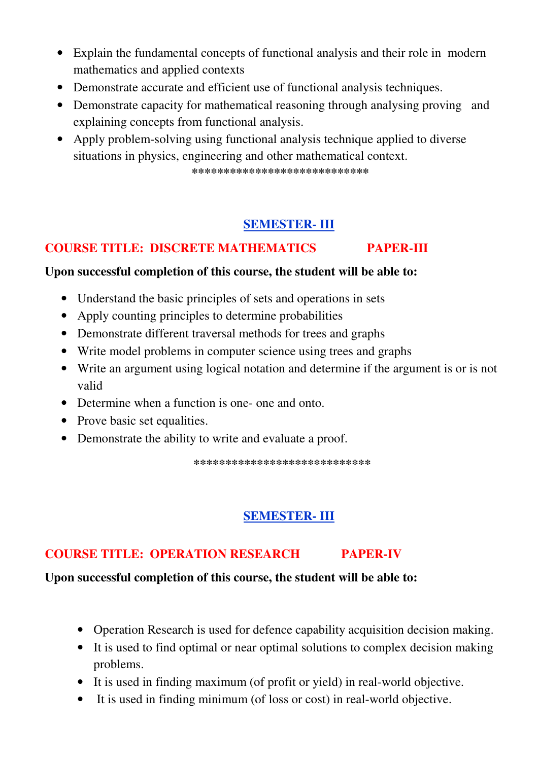- Explain the fundamental concepts of functional analysis and their role in modern mathematics and applied contexts
- Demonstrate accurate and efficient use of functional analysis techniques.
- Demonstrate capacity for mathematical reasoning through analysing proving and explaining concepts from functional analysis.
- Apply problem-solving using functional analysis technique applied to diverse situations in physics, engineering and other mathematical context.  **\*\*\*\*\*\*\*\*\*\*\*\*\*\*\*\*\*\*\*\*\*\*\*\*\*\*\*\***

# **SEMESTER- III**

# **COURSE TITLE: DISCRETE MATHEMATICS PAPER-III**

#### **Upon successful completion of this course, the student will be able to:**

- Understand the basic principles of sets and operations in sets
- Apply counting principles to determine probabilities
- Demonstrate different traversal methods for trees and graphs
- Write model problems in computer science using trees and graphs
- Write an argument using logical notation and determine if the argument is or is not valid
- Determine when a function is one- one and onto.
- Prove basic set equalities.
- Demonstrate the ability to write and evaluate a proof.

 **\*\*\*\*\*\*\*\*\*\*\*\*\*\*\*\*\*\*\*\*\*\*\*\*\*\*\*\***

# **SEMESTER- III**

# **COURSE TITLE: OPERATION RESEARCH PAPER-IV**

## **Upon successful completion of this course, the student will be able to:**

- Operation Research is used for defence capability acquisition decision making.
- It is used to find optimal or near optimal solutions to complex decision making problems.
- It is used in finding maximum (of profit or yield) in real-world objective.
- It is used in finding minimum (of loss or cost) in real-world objective.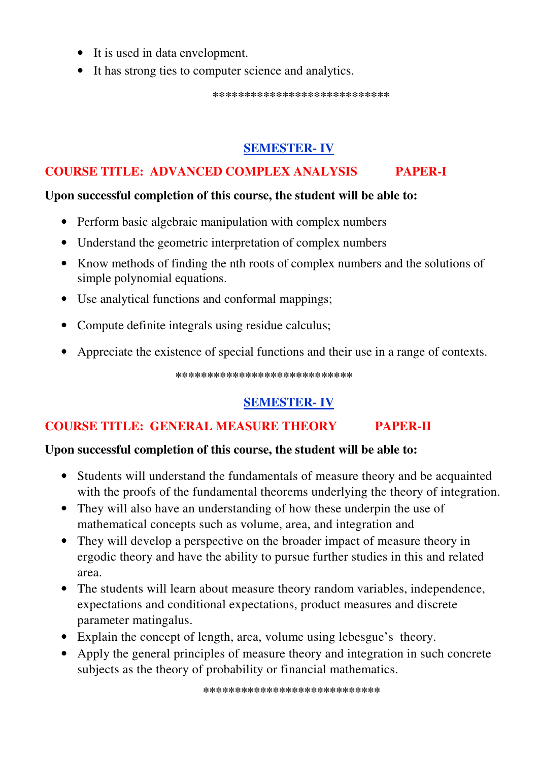- It is used in data envelopment.
- It has strong ties to computer science and analytics.

 **\*\*\*\*\*\*\*\*\*\*\*\*\*\*\*\*\*\*\*\*\*\*\*\*\*\*\*\*** 

# **SEMESTER- IV**

# **COURSE TITLE: ADVANCED COMPLEX ANALYSIS PAPER-I**

#### **Upon successful completion of this course, the student will be able to:**

- Perform basic algebraic manipulation with complex numbers
- Understand the geometric interpretation of complex numbers
- Know methods of finding the nth roots of complex numbers and the solutions of simple polynomial equations.
- Use analytical functions and conformal mappings;
- Compute definite integrals using residue calculus;
- Appreciate the existence of special functions and their use in a range of contexts.

 **\*\*\*\*\*\*\*\*\*\*\*\*\*\*\*\*\*\*\*\*\*\*\*\*\*\*\*\*** 

# **SEMESTER- IV**

# **COURSE TITLE: GENERAL MEASURE THEORY PAPER-II**

## **Upon successful completion of this course, the student will be able to:**

- Students will understand the fundamentals of measure theory and be acquainted with the proofs of the fundamental theorems underlying the theory of integration.
- They will also have an understanding of how these underpin the use of mathematical concepts such as volume, area, and integration and
- They will develop a perspective on the broader impact of measure theory in ergodic theory and have the ability to pursue further studies in this and related area.
- The students will learn about measure theory random variables, independence, expectations and conditional expectations, product measures and discrete parameter matingalus.
- Explain the concept of length, area, volume using lebesgue's theory.
- Apply the general principles of measure theory and integration in such concrete subjects as the theory of probability or financial mathematics.